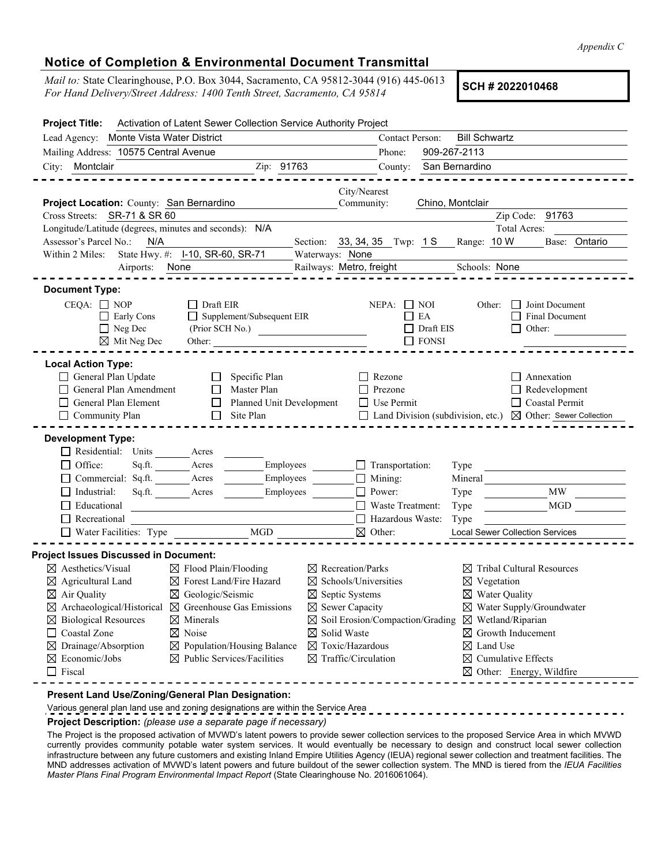*Appendix C*

## **Notice of Completion & Environmental Document Transmittal**

*Mail to:* State Clearinghouse, P.O. Box 3044, Sacramento, CA 95812-3044 (916) 445-0613 *Mail to:* State Clearinghouse, P.O. Box 3044, Sacramento, CA 95812-3044 (916) 445-0613<br>For Hand Delivery/Street Address: 1400 Tenth Street, Sacramento, CA 95814

| <b>Project Title:</b>                                                                                                                                                                                                                 | Activation of Latent Sewer Collection Service Authority Project                                                                                                                                                                                                                                                                                                                                                                                                                                                                                                                                                                                                                                                                                                                                                                                                                                           |
|---------------------------------------------------------------------------------------------------------------------------------------------------------------------------------------------------------------------------------------|-----------------------------------------------------------------------------------------------------------------------------------------------------------------------------------------------------------------------------------------------------------------------------------------------------------------------------------------------------------------------------------------------------------------------------------------------------------------------------------------------------------------------------------------------------------------------------------------------------------------------------------------------------------------------------------------------------------------------------------------------------------------------------------------------------------------------------------------------------------------------------------------------------------|
| Lead Agency: Monte Vista Water District                                                                                                                                                                                               | Contact Person:<br><b>Bill Schwartz</b>                                                                                                                                                                                                                                                                                                                                                                                                                                                                                                                                                                                                                                                                                                                                                                                                                                                                   |
| Mailing Address: 10575 Central Avenue                                                                                                                                                                                                 | 909-267-2113<br>Phone:                                                                                                                                                                                                                                                                                                                                                                                                                                                                                                                                                                                                                                                                                                                                                                                                                                                                                    |
| City: Montclair                                                                                                                                                                                                                       | Zip: 91763<br>San Bernardino<br>County:                                                                                                                                                                                                                                                                                                                                                                                                                                                                                                                                                                                                                                                                                                                                                                                                                                                                   |
| Project Location: County: San Bernardino<br>Cross Streets: SR-71 & SR 60                                                                                                                                                              | City/Nearest<br>Community:<br>Chino, Montclair<br>Zip Code: 91763                                                                                                                                                                                                                                                                                                                                                                                                                                                                                                                                                                                                                                                                                                                                                                                                                                         |
| Longitude/Latitude (degrees, minutes and seconds): N/A                                                                                                                                                                                | Total Acres:                                                                                                                                                                                                                                                                                                                                                                                                                                                                                                                                                                                                                                                                                                                                                                                                                                                                                              |
| Assessor's Parcel No.:<br>N/A                                                                                                                                                                                                         | Range: 10 W<br>Base: Ontario<br>Section: 33, 34, 35 Twp: 1 S                                                                                                                                                                                                                                                                                                                                                                                                                                                                                                                                                                                                                                                                                                                                                                                                                                              |
| Within 2 Miles:                                                                                                                                                                                                                       | State Hwy. #: I-10, SR-60, SR-71<br>Waterways: None                                                                                                                                                                                                                                                                                                                                                                                                                                                                                                                                                                                                                                                                                                                                                                                                                                                       |
| Airports:                                                                                                                                                                                                                             | Railways: Metro, freight<br>None<br>Schools: None                                                                                                                                                                                                                                                                                                                                                                                                                                                                                                                                                                                                                                                                                                                                                                                                                                                         |
| <b>Document Type:</b>                                                                                                                                                                                                                 |                                                                                                                                                                                                                                                                                                                                                                                                                                                                                                                                                                                                                                                                                                                                                                                                                                                                                                           |
| $CEQA: \Box NP$<br>$\Box$ Early Cons<br>$\Box$ Neg Dec<br>$\boxtimes$ Mit Neg Dec                                                                                                                                                     | $\Box$ Draft EIR<br>Joint Document<br>$NEPA:$ NOI<br>Other:<br>$\mathbf{1}$<br>Supplement/Subsequent EIR<br>$\Box$ EA<br>Final Document<br>(Prior SCH No.)<br>Draft EIS<br>Other:<br>$\Box$ FONSI<br>Other:                                                                                                                                                                                                                                                                                                                                                                                                                                                                                                                                                                                                                                                                                               |
| <b>Local Action Type:</b><br>General Plan Update<br>General Plan Amendment<br>General Plan Element<br>Community Plan                                                                                                                  | Specific Plan<br>$\Box$ Rezone<br>$\Box$ Annexation<br>$\mathbf{L}$<br>Master Plan<br>Prezone<br>Redevelopment<br>$\mathbf{I}$<br>$\Box$ Coastal Permit<br>Planned Unit Development<br>$\Box$ Use Permit<br>$\Box$<br>Site Plan<br>$\Box$ Land Division (subdivision, etc.) $\boxtimes$ Other: Sewer Collection<br>$\Box$                                                                                                                                                                                                                                                                                                                                                                                                                                                                                                                                                                                 |
| <b>Development Type:</b><br>$\Box$ Residential: Units<br>$\Box$ Office:<br>Sq.ft.<br>$\Box$ Commercial: Sq.ft.<br>Industrial:<br>Sq.ft.<br>Educational<br>$\Box$ Recreational<br>$\Box$ Water Facilities: Type                        | Acres<br>$\Box$ Transportation:<br>Acres<br>Employees<br>Type<br>Employees<br>$\Box$ Mining:<br>Mineral<br>Acres<br>$\Box$ Power:<br>Employees<br>MW<br>Acres<br>Type<br>$\Box$ Waste Treatment:<br><b>MGD</b><br>Type<br>$\Box$ Hazardous Waste:<br>Type<br>$\rm MGD$<br>$\boxtimes$ Other:<br><b>Local Sewer Collection Services</b>                                                                                                                                                                                                                                                                                                                                                                                                                                                                                                                                                                    |
| <b>Project Issues Discussed in Document:</b>                                                                                                                                                                                          |                                                                                                                                                                                                                                                                                                                                                                                                                                                                                                                                                                                                                                                                                                                                                                                                                                                                                                           |
| $\boxtimes$ Aesthetics/Visual<br>$\boxtimes$ Agricultural Land<br>$\boxtimes$ Air Quality<br>$\boxtimes$ Biological Resources<br>$\Box$ Coastal Zone<br>$\boxtimes$ Drainage/Absorption<br>$\boxtimes$ Economic/Jobs<br>$\Box$ Fiscal | $\boxtimes$ Flood Plain/Flooding<br>$\boxtimes$ Recreation/Parks<br>$\boxtimes$ Tribal Cultural Resources<br>$\boxtimes$ Forest Land/Fire Hazard<br>$\boxtimes$ Schools/Universities<br>$\boxtimes$ Vegetation<br>$\boxtimes$ Geologic/Seismic<br>$\boxtimes$ Septic Systems<br>$\boxtimes$ Water Quality<br>$\boxtimes$ Archaeological/Historical $\boxtimes$ Greenhouse Gas Emissions<br>$\boxtimes$ Sewer Capacity<br>$\boxtimes$ Water Supply/Groundwater<br>$\boxtimes$ Soil Erosion/Compaction/Grading $\boxtimes$ Wetland/Riparian<br>$\boxtimes$ Minerals<br>$\boxtimes$ Noise<br>$\boxtimes$ Solid Waste<br>$\boxtimes$ Growth Inducement<br>$\boxtimes$ Population/Housing Balance<br>$\boxtimes$ Toxic/Hazardous<br>$\boxtimes$ Land Use<br>$\boxtimes$ Public Services/Facilities<br>$\boxtimes$ Traffic/Circulation<br>$\boxtimes$ Cumulative Effects<br>$\boxtimes$ Other: Energy, Wildfire |
|                                                                                                                                                                                                                                       | Present Land Use/Zoning/General Plan Designation:                                                                                                                                                                                                                                                                                                                                                                                                                                                                                                                                                                                                                                                                                                                                                                                                                                                         |

Various general plan land use and zoning designations are within the Service Area

**Project Description:** *(please use a separate page if necessary)*

The Project is the proposed activation of MVWD's latent powers to provide sewer collection services to the proposed Service Area in which MVWD currently provides community potable water system services. It would eventually be necessary to design and construct local sewer collection infrastructure between any future customers and existing Inland Empire Utilities Agency (IEUA) regional sewer collection and treatment facilities. The MND addresses activation of MVWD's latent powers and future buildout of the sewer collection system. The MND is tiered from the *IEUA Facilities Master Plans Final Program Environmental Impact Report* (State Clearinghouse No. 2016061064).